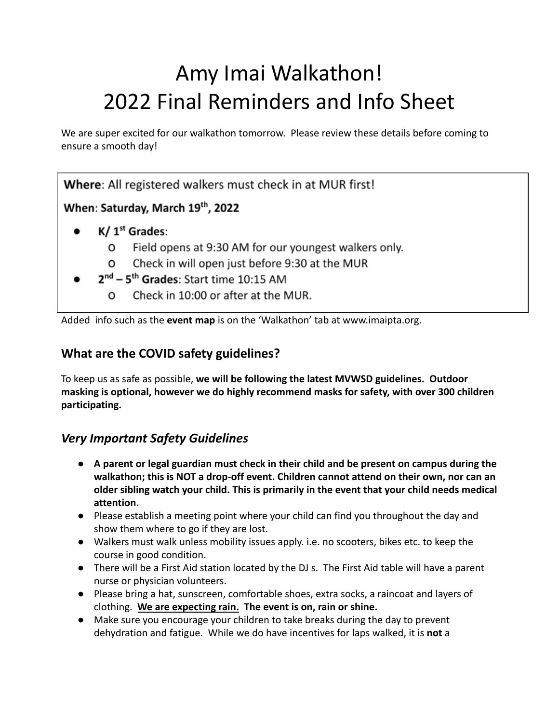# Amy Imai Walkathon! 2022 Final Reminders and Info Sheet

We are super excited for our walkathon tomorrow. Please review these details before coming to ensure a smooth day!

Where: All registered walkers must check in at MUR first!

### When: Saturday, March 19th, 2022

- $K/1<sup>st</sup>$  Grades:
	- Field opens at 9:30 AM for our youngest walkers only. O
	- Check in will open just before 9:30 at the MUR o
- 2<sup>nd</sup> 5<sup>th</sup> Grades: Start time 10:15 AM
	- Check in 10:00 or after at the MUR. о

Added info such as the **event map** is on the 'Walkathon' tab at www.imaipta.org.

## **What are the COVID safety guidelines?**

To keep us as safe as possible, **we will be following the latest MVWSD guidelines. Outdoor masking is optional, however we do highly recommend masks for safety, with over 300 children participating.**

# *Very Important Safety Guidelines*

- **● A parent or legal guardian must check in their child and be present on campus during the walkathon; this is NOT a drop-off event. Children cannot attend on their own, nor can an older sibling watch your child. This is primarily in the event that your child needs medical attention.**
- Please establish a meeting point where your child can find you throughout the day and show them where to go if they are lost.
- Walkers must walk unless mobility issues apply. i.e. no scooters, bikes etc. to keep the course in good condition.
- There will be a First Aid station located by the DJ s. The First Aid table will have a parent nurse or physician volunteers.
- **●** Please bring a hat, sunscreen, comfortable shoes, extra socks, a raincoat and layers of clothing. **We are expecting rain. The event is on, rain or shine.**
- Make sure you encourage your children to take breaks during the day to prevent dehydration and fatigue. While we do have incentives for laps walked, it is **not** a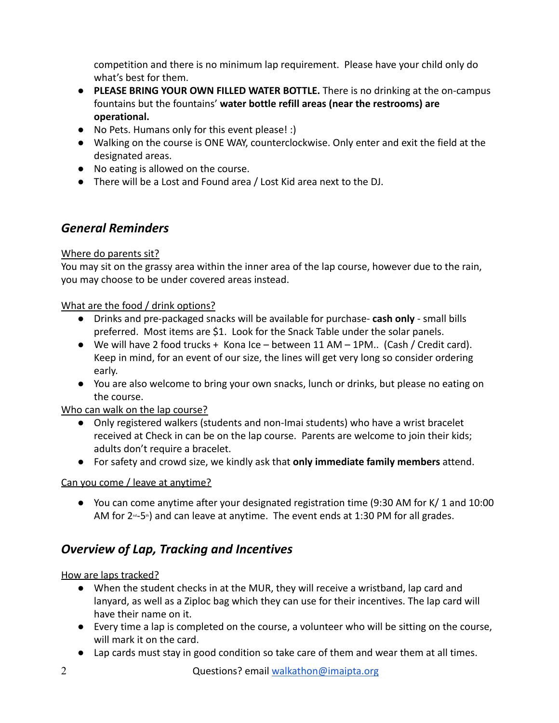competition and there is no minimum lap requirement. Please have your child only do what's best for them.

- **PLEASE BRING YOUR OWN FILLED WATER BOTTLE.** There is no drinking at the on-campus fountains but the fountains' **water bottle refill areas (near the restrooms) are operational.**
- No Pets. Humans only for this event please! :)
- Walking on the course is ONE WAY, counterclockwise. Only enter and exit the field at the designated areas.
- No eating is allowed on the course.
- There will be a Lost and Found area / Lost Kid area next to the DJ.

# *General Reminders*

#### Where do parents sit?

You may sit on the grassy area within the inner area of the lap course, however due to the rain, you may choose to be under covered areas instead.

#### What are the food / drink options?

- Drinks and pre-packaged snacks will be available for purchase- **cash only** small bills preferred. Most items are \$1. Look for the Snack Table under the solar panels.
- $\bullet$  We will have 2 food trucks + Kona Ice between 11 AM 1PM.. (Cash / Credit card). Keep in mind, for an event of our size, the lines will get very long so consider ordering early.
- You are also welcome to bring your own snacks, lunch or drinks, but please no eating on the course.

#### Who can walk on the lap course?

- Only registered walkers (students and non-Imai students) who have a wrist bracelet received at Check in can be on the lap course. Parents are welcome to join their kids; adults don't require a bracelet.
- For safety and crowd size, we kindly ask that **only immediate family members** attend.

#### Can you come / leave at anytime?

● You can come anytime after your designated registration time (9:30 AM for K/ 1 and 10:00 AM for  $2^{\omega}$ -5<sup>th</sup>) and can leave at anytime. The event ends at 1:30 PM for all grades.

# *Overview of Lap, Tracking and Incentives*

How are laps tracked?

- When the student checks in at the MUR, they will receive a wristband, lap card and lanyard, as well as a Ziploc bag which they can use for their incentives. The lap card will have their name on it.
- Every time a lap is completed on the course, a volunteer who will be sitting on the course, will mark it on the card.
- Lap cards must stay in good condition so take care of them and wear them at all times.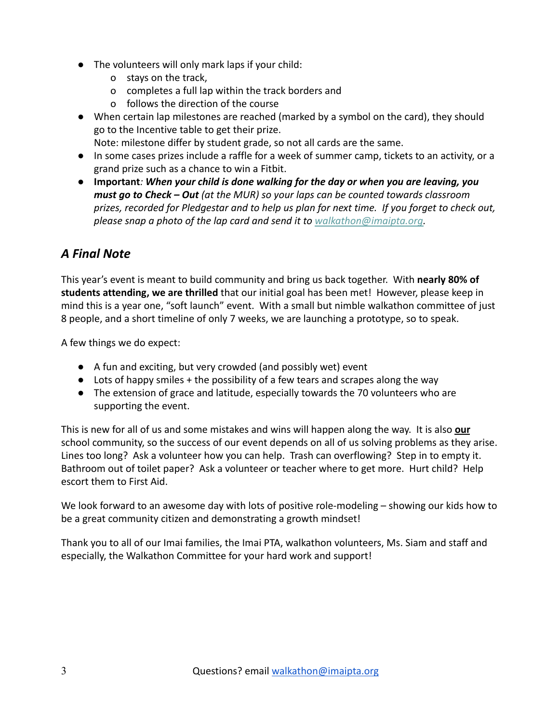- The volunteers will only mark laps if your child:
	- o stays on the track,
	- o completes a full lap within the track borders and
	- o follows the direction of the course
- When certain lap milestones are reached (marked by a symbol on the card), they should go to the Incentive table to get their prize. Note: milestone differ by student grade, so not all cards are the same.
- In some cases prizes include a raffle for a week of summer camp, tickets to an activity, or a grand prize such as a chance to win a Fitbit.
- **Important***: When your child is done walking for the day or when you are leaving, you must go to Check – Out (at the MUR) so your laps can be counted towards classroom prizes, recorded for Pledgestar and to help us plan for next time. If you forget to check out, please snap a photo of the lap card and send it to [walkathon@imaipta.org.](mailto:walkathon@imaipta.org)*

# *A Final Note*

This year's event is meant to build community and bring us back together. With **nearly 80% of students attending, we are thrilled** that our initial goal has been met! However, please keep in mind this is a year one, "soft launch" event. With a small but nimble walkathon committee of just 8 people, and a short timeline of only 7 weeks, we are launching a prototype, so to speak.

A few things we do expect:

- A fun and exciting, but very crowded (and possibly wet) event
- Lots of happy smiles + the possibility of a few tears and scrapes along the way
- The extension of grace and latitude, especially towards the 70 volunteers who are supporting the event.

This is new for all of us and some mistakes and wins will happen along the way. It is also **our** school community, so the success of our event depends on all of us solving problems as they arise. Lines too long? Ask a volunteer how you can help. Trash can overflowing? Step in to empty it. Bathroom out of toilet paper? Ask a volunteer or teacher where to get more. Hurt child? Help escort them to First Aid.

We look forward to an awesome day with lots of positive role-modeling – showing our kids how to be a great community citizen and demonstrating a growth mindset!

Thank you to all of our Imai families, the Imai PTA, walkathon volunteers, Ms. Siam and staff and especially, the Walkathon Committee for your hard work and support!